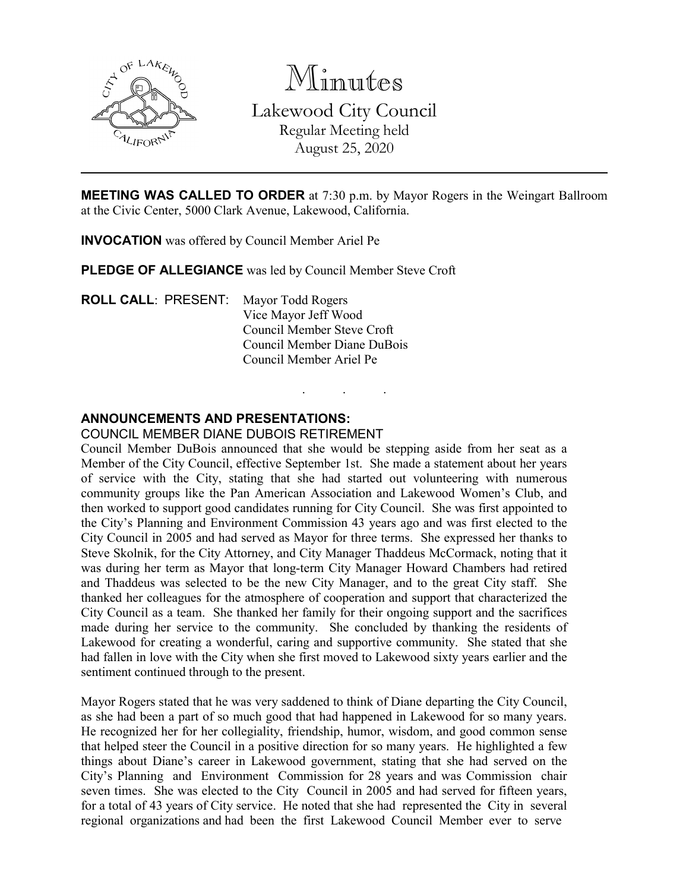

Minutes Lakewood City Council Regular Meeting held August 25, 2020

**MEETING WAS CALLED TO ORDER** at 7:30 p.m. by Mayor Rogers in the Weingart Ballroom at the Civic Center, 5000 Clark Avenue, Lakewood, California.

. . .

**INVOCATION** was offered by Council Member Ariel Pe

**PLEDGE OF ALLEGIANCE** was led by Council Member Steve Croft

**ROLL CALL**: PRESENT: Mayor Todd Rogers Vice Mayor Jeff Wood Council Member Steve Croft Council Member Diane DuBois Council Member Ariel Pe

## **ANNOUNCEMENTS AND PRESENTATIONS:**

#### COUNCIL MEMBER DIANE DUBOIS RETIREMENT

Council Member DuBois announced that she would be stepping aside from her seat as a Member of the City Council, effective September 1st. She made a statement about her years of service with the City, stating that she had started out volunteering with numerous community groups like the Pan American Association and Lakewood Women's Club, and then worked to support good candidates running for City Council. She was first appointed to the City's Planning and Environment Commission 43 years ago and was first elected to the City Council in 2005 and had served as Mayor for three terms. She expressed her thanks to Steve Skolnik, for the City Attorney, and City Manager Thaddeus McCormack, noting that it was during her term as Mayor that long-term City Manager Howard Chambers had retired and Thaddeus was selected to be the new City Manager, and to the great City staff. She thanked her colleagues for the atmosphere of cooperation and support that characterized the City Council as a team. She thanked her family for their ongoing support and the sacrifices made during her service to the community. She concluded by thanking the residents of Lakewood for creating a wonderful, caring and supportive community. She stated that she had fallen in love with the City when she first moved to Lakewood sixty years earlier and the sentiment continued through to the present.

Mayor Rogers stated that he was very saddened to think of Diane departing the City Council, as she had been a part of so much good that had happened in Lakewood for so many years. He recognized her for her collegiality, friendship, humor, wisdom, and good common sense that helped steer the Council in a positive direction for so many years. He highlighted a few things about Diane's career in Lakewood government, stating that she had served on the City's Planning and Environment Commission for 28 years and was Commission chair seven times. She was elected to the City Council in 2005 and had served for fifteen years, for a total of 43 years of City service. He noted that she had represented the City in several regional organizations and had been the first Lakewood Council Member ever to serve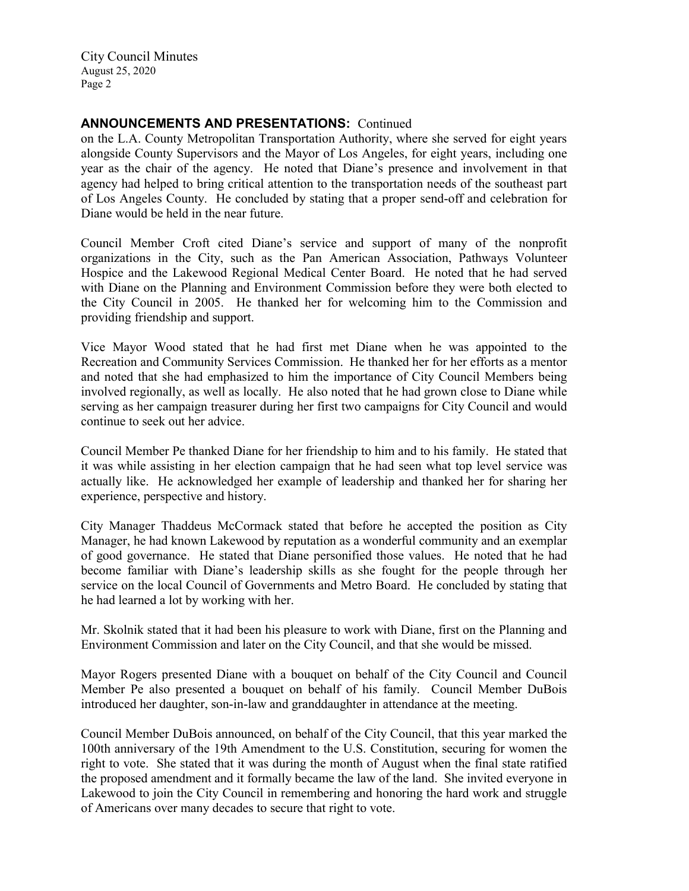## **ANNOUNCEMENTS AND PRESENTATIONS:** Continued

on the L.A. County Metropolitan Transportation Authority, where she served for eight years alongside County Supervisors and the Mayor of Los Angeles, for eight years, including one year as the chair of the agency. He noted that Diane's presence and involvement in that agency had helped to bring critical attention to the transportation needs of the southeast part of Los Angeles County. He concluded by stating that a proper send-off and celebration for Diane would be held in the near future.

Council Member Croft cited Diane's service and support of many of the nonprofit organizations in the City, such as the Pan American Association, Pathways Volunteer Hospice and the Lakewood Regional Medical Center Board. He noted that he had served with Diane on the Planning and Environment Commission before they were both elected to the City Council in 2005. He thanked her for welcoming him to the Commission and providing friendship and support.

Vice Mayor Wood stated that he had first met Diane when he was appointed to the Recreation and Community Services Commission. He thanked her for her efforts as a mentor and noted that she had emphasized to him the importance of City Council Members being involved regionally, as well as locally. He also noted that he had grown close to Diane while serving as her campaign treasurer during her first two campaigns for City Council and would continue to seek out her advice.

Council Member Pe thanked Diane for her friendship to him and to his family. He stated that it was while assisting in her election campaign that he had seen what top level service was actually like. He acknowledged her example of leadership and thanked her for sharing her experience, perspective and history.

City Manager Thaddeus McCormack stated that before he accepted the position as City Manager, he had known Lakewood by reputation as a wonderful community and an exemplar of good governance. He stated that Diane personified those values. He noted that he had become familiar with Diane's leadership skills as she fought for the people through her service on the local Council of Governments and Metro Board. He concluded by stating that he had learned a lot by working with her.

Mr. Skolnik stated that it had been his pleasure to work with Diane, first on the Planning and Environment Commission and later on the City Council, and that she would be missed.

Mayor Rogers presented Diane with a bouquet on behalf of the City Council and Council Member Pe also presented a bouquet on behalf of his family. Council Member DuBois introduced her daughter, son-in-law and granddaughter in attendance at the meeting.

Council Member DuBois announced, on behalf of the City Council, that this year marked the 100th anniversary of the 19th Amendment to the U.S. Constitution, securing for women the right to vote. She stated that it was during the month of August when the final state ratified the proposed amendment and it formally became the law of the land. She invited everyone in Lakewood to join the City Council in remembering and honoring the hard work and struggle of Americans over many decades to secure that right to vote.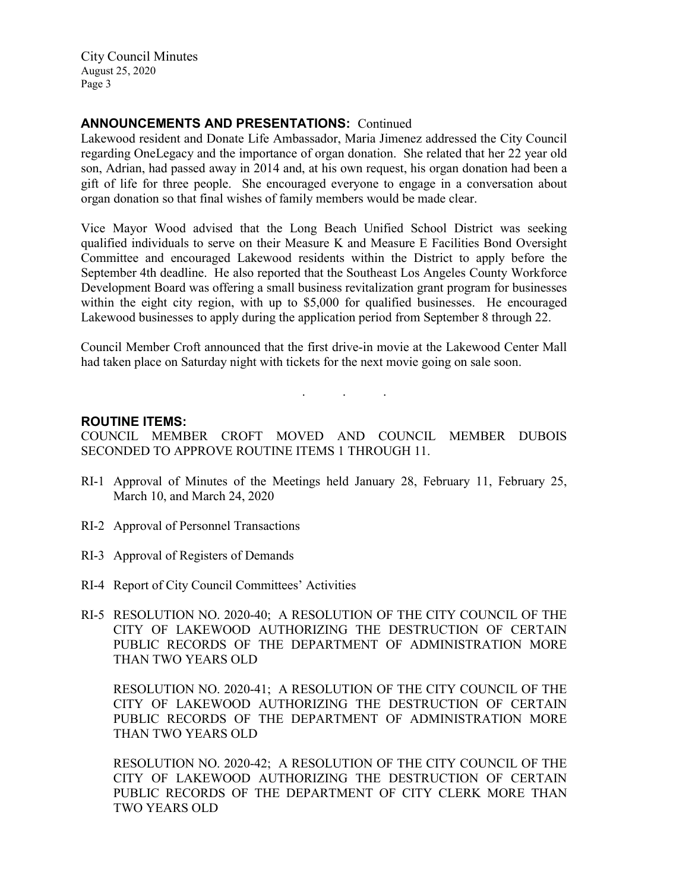## **ANNOUNCEMENTS AND PRESENTATIONS:** Continued

Lakewood resident and Donate Life Ambassador, Maria Jimenez addressed the City Council regarding OneLegacy and the importance of organ donation. She related that her 22 year old son, Adrian, had passed away in 2014 and, at his own request, his organ donation had been a gift of life for three people. She encouraged everyone to engage in a conversation about organ donation so that final wishes of family members would be made clear.

Vice Mayor Wood advised that the Long Beach Unified School District was seeking qualified individuals to serve on their Measure K and Measure E Facilities Bond Oversight Committee and encouraged Lakewood residents within the District to apply before the September 4th deadline. He also reported that the Southeast Los Angeles County Workforce Development Board was offering a small business revitalization grant program for businesses within the eight city region, with up to \$5,000 for qualified businesses. He encouraged Lakewood businesses to apply during the application period from September 8 through 22.

Council Member Croft announced that the first drive-in movie at the Lakewood Center Mall had taken place on Saturday night with tickets for the next movie going on sale soon.

. . .

**ROUTINE ITEMS:**

COUNCIL MEMBER CROFT MOVED AND COUNCIL MEMBER DUBOIS SECONDED TO APPROVE ROUTINE ITEMS 1 THROUGH 11.

- RI-1 Approval of Minutes of the Meetings held January 28, February 11, February 25, March 10, and March 24, 2020
- RI-2 Approval of Personnel Transactions
- RI-3 Approval of Registers of Demands
- RI-4 Report of City Council Committees' Activities
- RI-5 RESOLUTION NO. 2020-40; A RESOLUTION OF THE CITY COUNCIL OF THE CITY OF LAKEWOOD AUTHORIZING THE DESTRUCTION OF CERTAIN PUBLIC RECORDS OF THE DEPARTMENT OF ADMINISTRATION MORE THAN TWO YEARS OLD

RESOLUTION NO. 2020-41; A RESOLUTION OF THE CITY COUNCIL OF THE CITY OF LAKEWOOD AUTHORIZING THE DESTRUCTION OF CERTAIN PUBLIC RECORDS OF THE DEPARTMENT OF ADMINISTRATION MORE THAN TWO YEARS OLD

RESOLUTION NO. 2020-42; A RESOLUTION OF THE CITY COUNCIL OF THE CITY OF LAKEWOOD AUTHORIZING THE DESTRUCTION OF CERTAIN PUBLIC RECORDS OF THE DEPARTMENT OF CITY CLERK MORE THAN TWO YEARS OLD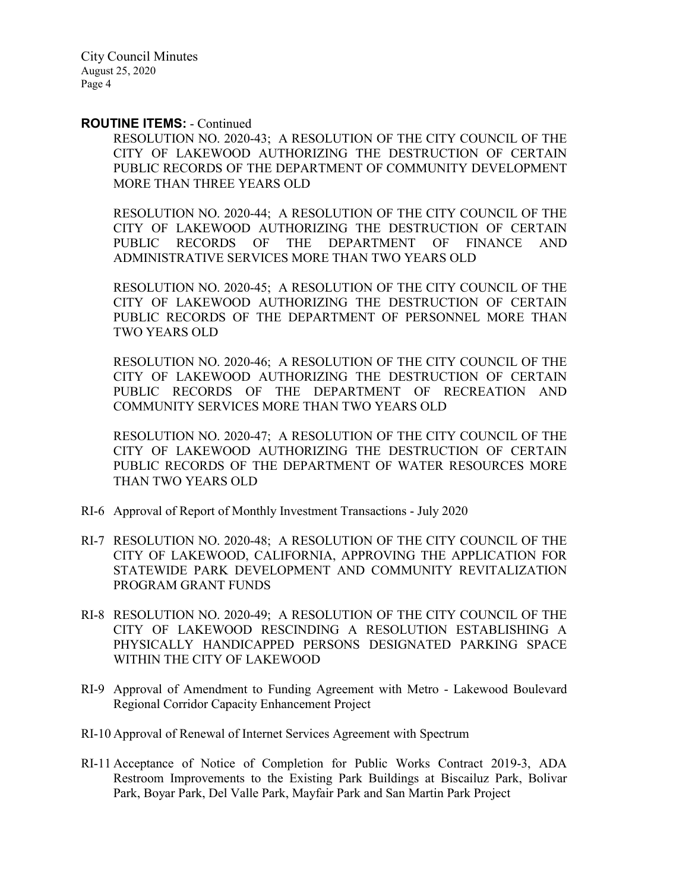#### **ROUTINE ITEMS:** - Continued

RESOLUTION NO. 2020-43; A RESOLUTION OF THE CITY COUNCIL OF THE CITY OF LAKEWOOD AUTHORIZING THE DESTRUCTION OF CERTAIN PUBLIC RECORDS OF THE DEPARTMENT OF COMMUNITY DEVELOPMENT MORE THAN THREE YEARS OLD

RESOLUTION NO. 2020-44; A RESOLUTION OF THE CITY COUNCIL OF THE CITY OF LAKEWOOD AUTHORIZING THE DESTRUCTION OF CERTAIN PUBLIC RECORDS OF THE DEPARTMENT OF FINANCE AND ADMINISTRATIVE SERVICES MORE THAN TWO YEARS OLD

RESOLUTION NO. 2020-45; A RESOLUTION OF THE CITY COUNCIL OF THE CITY OF LAKEWOOD AUTHORIZING THE DESTRUCTION OF CERTAIN PUBLIC RECORDS OF THE DEPARTMENT OF PERSONNEL MORE THAN TWO YEARS OLD

RESOLUTION NO. 2020-46; A RESOLUTION OF THE CITY COUNCIL OF THE CITY OF LAKEWOOD AUTHORIZING THE DESTRUCTION OF CERTAIN PUBLIC RECORDS OF THE DEPARTMENT OF RECREATION AND COMMUNITY SERVICES MORE THAN TWO YEARS OLD

RESOLUTION NO. 2020-47; A RESOLUTION OF THE CITY COUNCIL OF THE CITY OF LAKEWOOD AUTHORIZING THE DESTRUCTION OF CERTAIN PUBLIC RECORDS OF THE DEPARTMENT OF WATER RESOURCES MORE THAN TWO YEARS OLD

- RI-6 Approval of Report of Monthly Investment Transactions July 2020
- RI-7 RESOLUTION NO. 2020-48; A RESOLUTION OF THE CITY COUNCIL OF THE CITY OF LAKEWOOD, CALIFORNIA, APPROVING THE APPLICATION FOR STATEWIDE PARK DEVELOPMENT AND COMMUNITY REVITALIZATION PROGRAM GRANT FUNDS
- RI-8 RESOLUTION NO. 2020-49; A RESOLUTION OF THE CITY COUNCIL OF THE CITY OF LAKEWOOD RESCINDING A RESOLUTION ESTABLISHING A PHYSICALLY HANDICAPPED PERSONS DESIGNATED PARKING SPACE WITHIN THE CITY OF LAKEWOOD
- RI-9 Approval of Amendment to Funding Agreement with Metro Lakewood Boulevard Regional Corridor Capacity Enhancement Project
- RI-10 Approval of Renewal of Internet Services Agreement with Spectrum
- RI-11 Acceptance of Notice of Completion for Public Works Contract 2019-3, ADA Restroom Improvements to the Existing Park Buildings at Biscailuz Park, Bolivar Park, Boyar Park, Del Valle Park, Mayfair Park and San Martin Park Project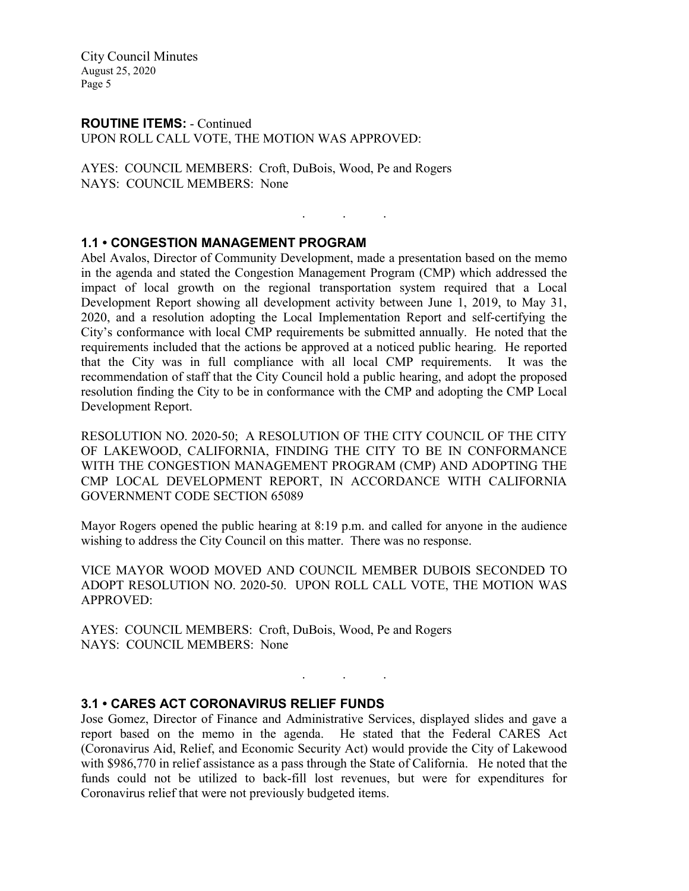#### **ROUTINE ITEMS:** - Continued UPON ROLL CALL VOTE, THE MOTION WAS APPROVED:

AYES: COUNCIL MEMBERS: Croft, DuBois, Wood, Pe and Rogers NAYS: COUNCIL MEMBERS: None

## **1.1 • CONGESTION MANAGEMENT PROGRAM**

Abel Avalos, Director of Community Development, made a presentation based on the memo in the agenda and stated the Congestion Management Program (CMP) which addressed the impact of local growth on the regional transportation system required that a Local Development Report showing all development activity between June 1, 2019, to May 31, 2020, and a resolution adopting the Local Implementation Report and self-certifying the City's conformance with local CMP requirements be submitted annually. He noted that the requirements included that the actions be approved at a noticed public hearing. He reported that the City was in full compliance with all local CMP requirements. It was the recommendation of staff that the City Council hold a public hearing, and adopt the proposed resolution finding the City to be in conformance with the CMP and adopting the CMP Local Development Report.

. . .

RESOLUTION NO. 2020-50; A RESOLUTION OF THE CITY COUNCIL OF THE CITY OF LAKEWOOD, CALIFORNIA, FINDING THE CITY TO BE IN CONFORMANCE WITH THE CONGESTION MANAGEMENT PROGRAM (CMP) AND ADOPTING THE CMP LOCAL DEVELOPMENT REPORT, IN ACCORDANCE WITH CALIFORNIA GOVERNMENT CODE SECTION 65089

Mayor Rogers opened the public hearing at 8:19 p.m. and called for anyone in the audience wishing to address the City Council on this matter. There was no response.

VICE MAYOR WOOD MOVED AND COUNCIL MEMBER DUBOIS SECONDED TO ADOPT RESOLUTION NO. 2020-50. UPON ROLL CALL VOTE, THE MOTION WAS APPROVED:

AYES: COUNCIL MEMBERS: Croft, DuBois, Wood, Pe and Rogers NAYS: COUNCIL MEMBERS: None

## **3.1 • CARES ACT CORONAVIRUS RELIEF FUNDS**

Jose Gomez, Director of Finance and Administrative Services, displayed slides and gave a report based on the memo in the agenda. He stated that the Federal CARES Act (Coronavirus Aid, Relief, and Economic Security Act) would provide the City of Lakewood with \$986,770 in relief assistance as a pass through the State of California. He noted that the funds could not be utilized to back-fill lost revenues, but were for expenditures for Coronavirus relief that were not previously budgeted items.

. . .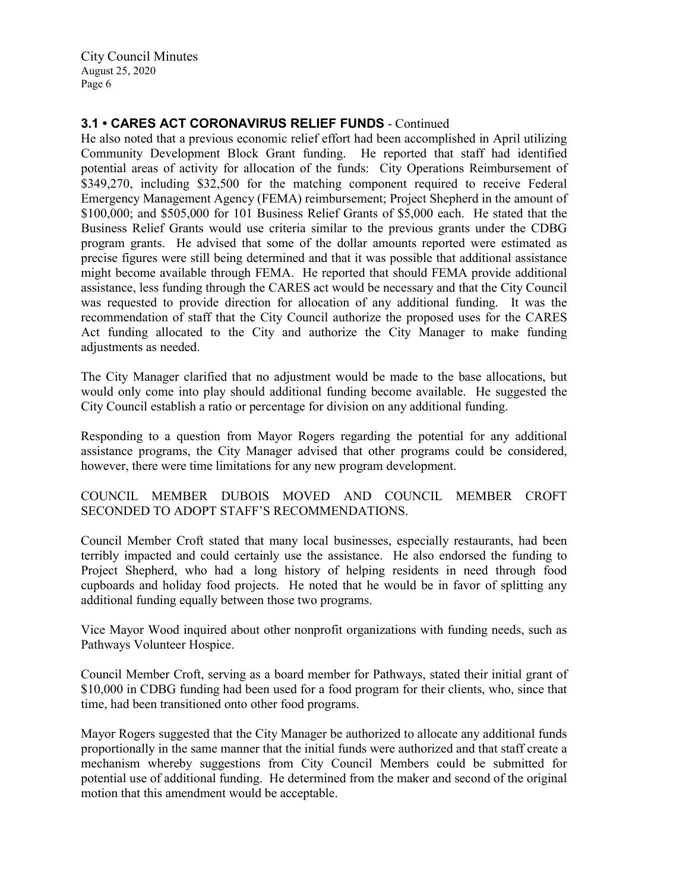# **3.1 • CARES ACT CORONAVIRUS RELIEF FUNDS** - Continued

He also noted that a previous economic relief effort had been accomplished in April utilizing Community Development Block Grant funding. He reported that staff had identified potential areas of activity for allocation of the funds: City Operations Reimbursement of \$349,270, including \$32,500 for the matching component required to receive Federal Emergency Management Agency (FEMA) reimbursement; Project Shepherd in the amount of \$100,000; and \$505,000 for 101 Business Relief Grants of \$5,000 each. He stated that the Business Relief Grants would use criteria similar to the previous grants under the CDBG program grants. He advised that some of the dollar amounts reported were estimated as precise figures were still being determined and that it was possible that additional assistance might become available through FEMA. He reported that should FEMA provide additional assistance, less funding through the CARES act would be necessary and that the City Council was requested to provide direction for allocation of any additional funding. It was the recommendation of staff that the City Council authorize the proposed uses for the CARES Act funding allocated to the City and authorize the City Manager to make funding adjustments as needed.

The City Manager clarified that no adjustment would be made to the base allocations, but would only come into play should additional funding become available. He suggested the City Council establish a ratio or percentage for division on any additional funding.

Responding to a question from Mayor Rogers regarding the potential for any additional assistance programs, the City Manager advised that other programs could be considered, however, there were time limitations for any new program development.

## COUNCIL MEMBER DUBOIS MOVED AND COUNCIL MEMBER CROFT SECONDED TO ADOPT STAFF'S RECOMMENDATIONS.

Council Member Croft stated that many local businesses, especially restaurants, had been terribly impacted and could certainly use the assistance. He also endorsed the funding to Project Shepherd, who had a long history of helping residents in need through food cupboards and holiday food projects. He noted that he would be in favor of splitting any additional funding equally between those two programs.

Vice Mayor Wood inquired about other nonprofit organizations with funding needs, such as Pathways Volunteer Hospice.

Council Member Croft, serving as a board member for Pathways, stated their initial grant of \$10,000 in CDBG funding had been used for a food program for their clients, who, since that time, had been transitioned onto other food programs.

Mayor Rogers suggested that the City Manager be authorized to allocate any additional funds proportionally in the same manner that the initial funds were authorized and that staff create a mechanism whereby suggestions from City Council Members could be submitted for potential use of additional funding. He determined from the maker and second of the original motion that this amendment would be acceptable.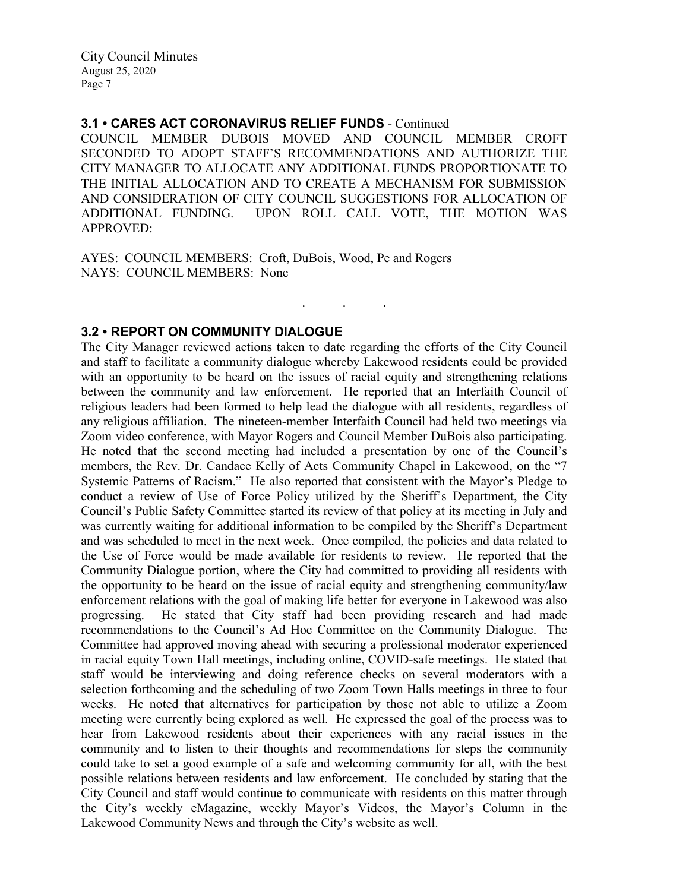## **3.1 • CARES ACT CORONAVIRUS RELIEF FUNDS** - Continued

COUNCIL MEMBER DUBOIS MOVED AND COUNCIL MEMBER CROFT SECONDED TO ADOPT STAFF'S RECOMMENDATIONS AND AUTHORIZE THE CITY MANAGER TO ALLOCATE ANY ADDITIONAL FUNDS PROPORTIONATE TO THE INITIAL ALLOCATION AND TO CREATE A MECHANISM FOR SUBMISSION AND CONSIDERATION OF CITY COUNCIL SUGGESTIONS FOR ALLOCATION OF ADDITIONAL FUNDING. UPON ROLL CALL VOTE, THE MOTION WAS APPROVED:

. . .

AYES: COUNCIL MEMBERS: Croft, DuBois, Wood, Pe and Rogers NAYS: COUNCIL MEMBERS: None

## **3.2 • REPORT ON COMMUNITY DIALOGUE**

The City Manager reviewed actions taken to date regarding the efforts of the City Council and staff to facilitate a community dialogue whereby Lakewood residents could be provided with an opportunity to be heard on the issues of racial equity and strengthening relations between the community and law enforcement. He reported that an Interfaith Council of religious leaders had been formed to help lead the dialogue with all residents, regardless of any religious affiliation. The nineteen-member Interfaith Council had held two meetings via Zoom video conference, with Mayor Rogers and Council Member DuBois also participating. He noted that the second meeting had included a presentation by one of the Council's members, the Rev. Dr. Candace Kelly of Acts Community Chapel in Lakewood, on the "7 Systemic Patterns of Racism." He also reported that consistent with the Mayor's Pledge to conduct a review of Use of Force Policy utilized by the Sheriff's Department, the City Council's Public Safety Committee started its review of that policy at its meeting in July and was currently waiting for additional information to be compiled by the Sheriff's Department and was scheduled to meet in the next week. Once compiled, the policies and data related to the Use of Force would be made available for residents to review. He reported that the Community Dialogue portion, where the City had committed to providing all residents with the opportunity to be heard on the issue of racial equity and strengthening community/law enforcement relations with the goal of making life better for everyone in Lakewood was also progressing. He stated that City staff had been providing research and had made recommendations to the Council's Ad Hoc Committee on the Community Dialogue. The Committee had approved moving ahead with securing a professional moderator experienced in racial equity Town Hall meetings, including online, COVID-safe meetings. He stated that staff would be interviewing and doing reference checks on several moderators with a selection forthcoming and the scheduling of two Zoom Town Halls meetings in three to four weeks. He noted that alternatives for participation by those not able to utilize a Zoom meeting were currently being explored as well. He expressed the goal of the process was to hear from Lakewood residents about their experiences with any racial issues in the community and to listen to their thoughts and recommendations for steps the community could take to set a good example of a safe and welcoming community for all, with the best possible relations between residents and law enforcement. He concluded by stating that the City Council and staff would continue to communicate with residents on this matter through the City's weekly eMagazine, weekly Mayor's Videos, the Mayor's Column in the Lakewood Community News and through the City's website as well.